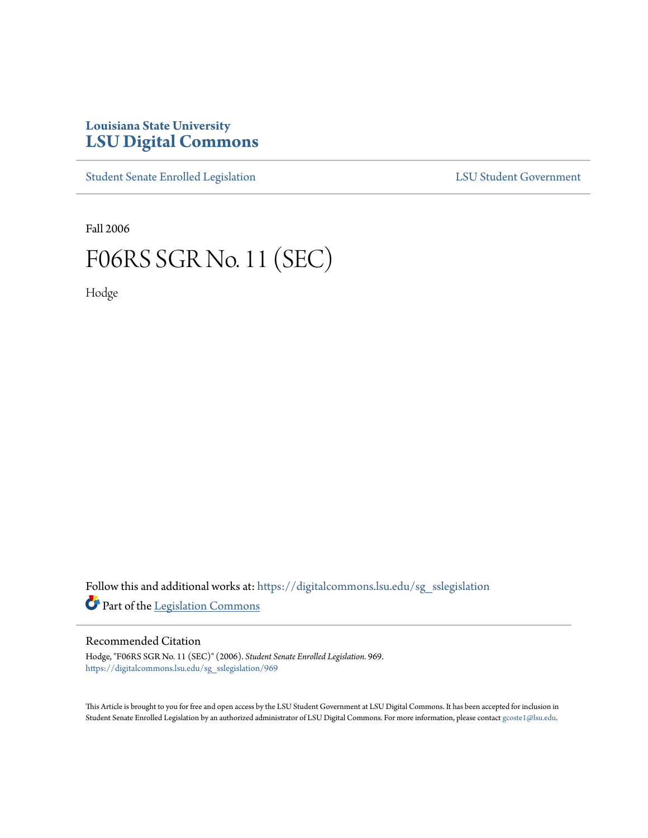## **Louisiana State University [LSU Digital Commons](https://digitalcommons.lsu.edu?utm_source=digitalcommons.lsu.edu%2Fsg_sslegislation%2F969&utm_medium=PDF&utm_campaign=PDFCoverPages)**

[Student Senate Enrolled Legislation](https://digitalcommons.lsu.edu/sg_sslegislation?utm_source=digitalcommons.lsu.edu%2Fsg_sslegislation%2F969&utm_medium=PDF&utm_campaign=PDFCoverPages) [LSU Student Government](https://digitalcommons.lsu.edu/sg?utm_source=digitalcommons.lsu.edu%2Fsg_sslegislation%2F969&utm_medium=PDF&utm_campaign=PDFCoverPages)

Fall 2006

## F06RS SGR No. 11 (SEC)

Hodge

Follow this and additional works at: [https://digitalcommons.lsu.edu/sg\\_sslegislation](https://digitalcommons.lsu.edu/sg_sslegislation?utm_source=digitalcommons.lsu.edu%2Fsg_sslegislation%2F969&utm_medium=PDF&utm_campaign=PDFCoverPages) Part of the [Legislation Commons](http://network.bepress.com/hgg/discipline/859?utm_source=digitalcommons.lsu.edu%2Fsg_sslegislation%2F969&utm_medium=PDF&utm_campaign=PDFCoverPages)

## Recommended Citation

Hodge, "F06RS SGR No. 11 (SEC)" (2006). *Student Senate Enrolled Legislation*. 969. [https://digitalcommons.lsu.edu/sg\\_sslegislation/969](https://digitalcommons.lsu.edu/sg_sslegislation/969?utm_source=digitalcommons.lsu.edu%2Fsg_sslegislation%2F969&utm_medium=PDF&utm_campaign=PDFCoverPages)

This Article is brought to you for free and open access by the LSU Student Government at LSU Digital Commons. It has been accepted for inclusion in Student Senate Enrolled Legislation by an authorized administrator of LSU Digital Commons. For more information, please contact [gcoste1@lsu.edu.](mailto:gcoste1@lsu.edu)